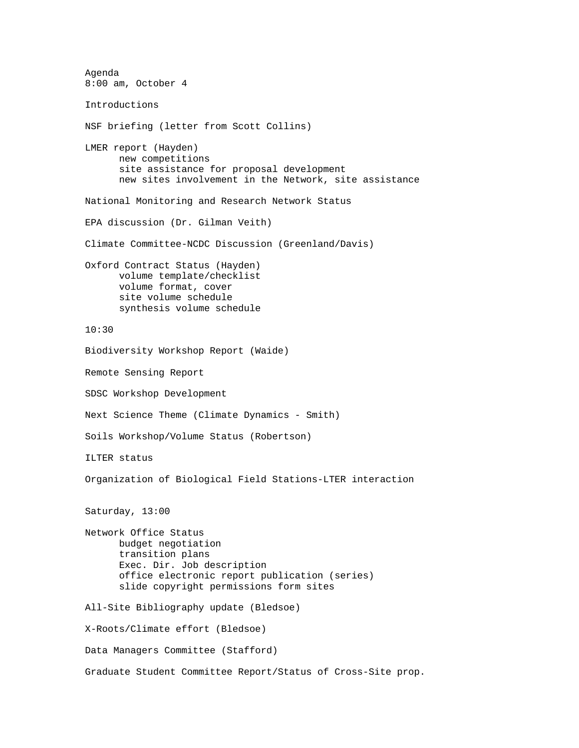Agenda 8:00 am, October 4 Introductions NSF briefing (letter from Scott Collins) LMER report (Hayden) new competitions site assistance for proposal development new sites involvement in the Network, site assistance National Monitoring and Research Network Status EPA discussion (Dr. Gilman Veith) Climate Committee-NCDC Discussion (Greenland/Davis) Oxford Contract Status (Hayden) volume template/checklist volume format, cover site volume schedule synthesis volume schedule 10:30 Biodiversity Workshop Report (Waide) Remote Sensing Report SDSC Workshop Development Next Science Theme (Climate Dynamics - Smith) Soils Workshop/Volume Status (Robertson) ILTER status Organization of Biological Field Stations-LTER interaction Saturday, 13:00 Network Office Status budget negotiation transition plans Exec. Dir. Job description office electronic report publication (series) slide copyright permissions form sites All-Site Bibliography update (Bledsoe) X-Roots/Climate effort (Bledsoe) Data Managers Committee (Stafford) Graduate Student Committee Report/Status of Cross-Site prop.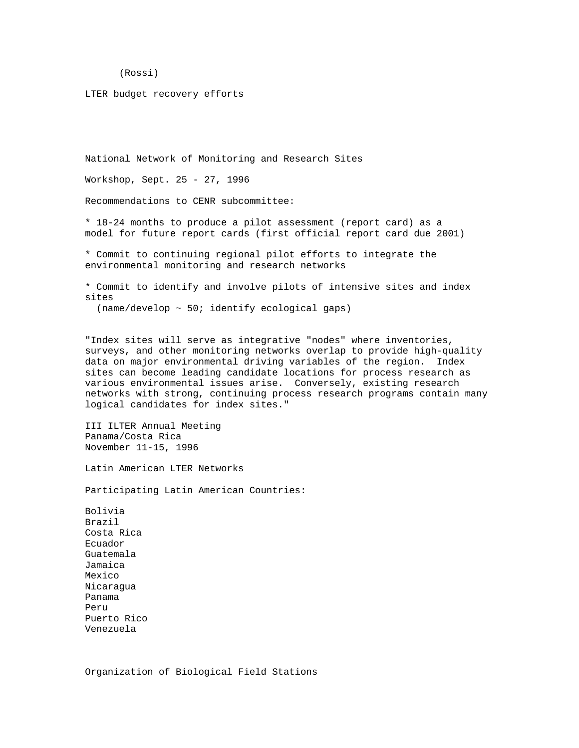(Rossi)

LTER budget recovery efforts

National Network of Monitoring and Research Sites

Workshop, Sept. 25 - 27, 1996

Recommendations to CENR subcommittee:

\* 18-24 months to produce a pilot assessment (report card) as a model for future report cards (first official report card due 2001)

\* Commit to continuing regional pilot efforts to integrate the environmental monitoring and research networks

\* Commit to identify and involve pilots of intensive sites and index sites (name/develop ~ 50; identify ecological gaps)

"Index sites will serve as integrative "nodes" where inventories, surveys, and other monitoring networks overlap to provide high-quality data on major environmental driving variables of the region. Index sites can become leading candidate locations for process research as various environmental issues arise. Conversely, existing research networks with strong, continuing process research programs contain many logical candidates for index sites."

III ILTER Annual Meeting Panama/Costa Rica November 11-15, 1996

Latin American LTER Networks

Participating Latin American Countries:

Bolivia Brazil Costa Rica Ecuador Guatemala Jamaica Mexico Nicaragua Panama Peru Puerto Rico Venezuela

Organization of Biological Field Stations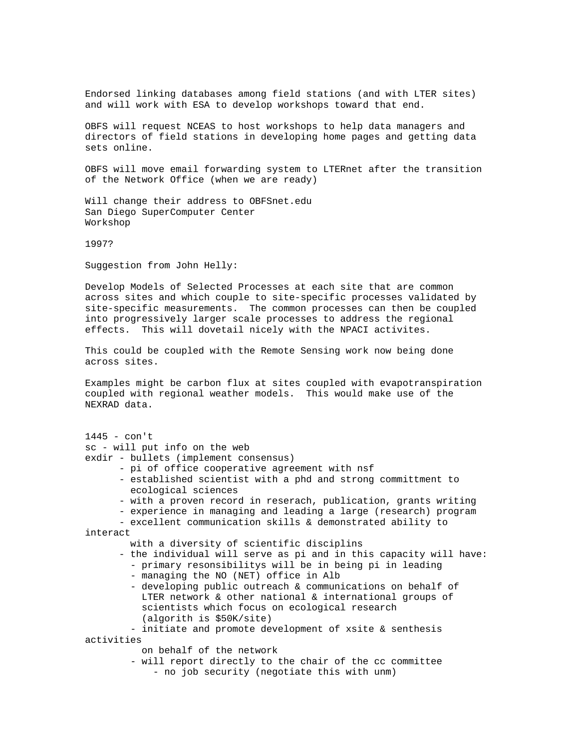Endorsed linking databases among field stations (and with LTER sites) and will work with ESA to develop workshops toward that end.

OBFS will request NCEAS to host workshops to help data managers and directors of field stations in developing home pages and getting data sets online.

OBFS will move email forwarding system to LTERnet after the transition of the Network Office (when we are ready)

Will change their address to OBFSnet.edu San Diego SuperComputer Center Workshop

1997?

Suggestion from John Helly:

Develop Models of Selected Processes at each site that are common across sites and which couple to site-specific processes validated by site-specific measurements. The common processes can then be coupled into progressively larger scale processes to address the regional effects. This will dovetail nicely with the NPACI activites.

This could be coupled with the Remote Sensing work now being done across sites.

Examples might be carbon flux at sites coupled with evapotranspiration coupled with regional weather models. This would make use of the NEXRAD data.

1445 - con't sc - will put info on the web exdir - bullets (implement consensus) - pi of office cooperative agreement with nsf - established scientist with a phd and strong committment to ecological sciences - with a proven record in reserach, publication, grants writing - experience in managing and leading a large (research) program - excellent communication skills & demonstrated ability to interact with a diversity of scientific disciplins - the individual will serve as pi and in this capacity will have: - primary resonsibilitys will be in being pi in leading - managing the NO (NET) office in Alb - developing public outreach & communications on behalf of LTER network & other national & international groups of scientists which focus on ecological research (algorith is \$50K/site) - initiate and promote development of xsite & senthesis activities on behalf of the network - will report directly to the chair of the cc committee - no job security (negotiate this with unm)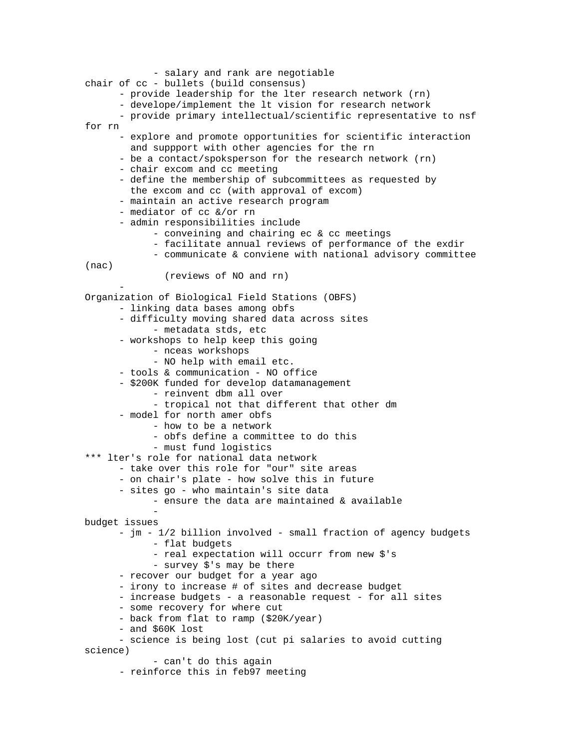```
- salary and rank are negotiable
chair of cc - bullets (build consensus)
      - provide leadership for the lter research network (rn)
      - develope/implement the lt vision for research network 
      - provide primary intellectual/scientific representative to nsf 
for rn 
      - explore and promote opportunities for scientific interaction
         and suppport with other agencies for the rn
      - be a contact/spoksperson for the research network (rn) 
      - chair excom and cc meeting
      - define the membership of subcommittees as requested by 
         the excom and cc (with approval of excom)
      - maintain an active research program 
      - mediator of cc &/or rn
      - admin responsibilities include
            - conveining and chairing ec & cc meetings
            - facilitate annual reviews of performance of the exdir
            - communicate & conviene with national advisory committee 
(nac)
               (reviews of NO and rn)
      -
Organization of Biological Field Stations (OBFS)
      - linking data bases among obfs
      - difficulty moving shared data across sites
            - metadata stds, etc
      - workshops to help keep this going
            - nceas workshops
            - NO help with email etc.
      - tools & communication - NO office
      - $200K funded for develop datamanagement 
             - reinvent dbm all over
            - tropical not that different that other dm
      - model for north amer obfs
            - how to be a network
            - obfs define a committee to do this
            - must fund logistics
*** lter's role for national data network
      - take over this role for "our" site areas
      - on chair's plate - how solve this in future
      - sites go - who maintain's site data
            - ensure the data are maintained & available
            - 
budget issues
      - jm - 1/2 billion involved - small fraction of agency budgets
            - flat budgets
            - real expectation will occurr from new $'s
            - survey $'s may be there
      - recover our budget for a year ago
      - irony to increase # of sites and decrease budget
      - increase budgets - a reasonable request - for all sites
      - some recovery for where cut
      - back from flat to ramp ($20K/year)
      - and $60K lost
      - science is being lost (cut pi salaries to avoid cutting 
science)
            - can't do this again
      - reinforce this in feb97 meeting
```